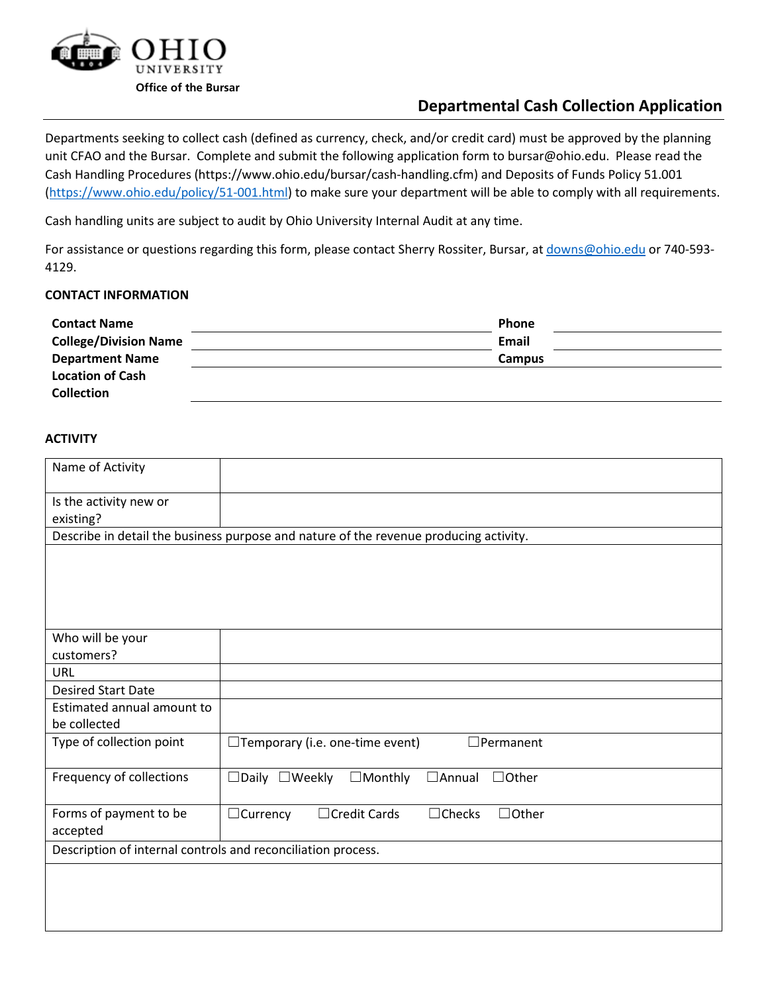

# **Departmental Cash Collection Application**

Departments seeking to collect cash (defined as currency, check, and/or credit card) must be approved by the planning unit CFAO and the Bursar. Complete and submit the following application form to bursar@ohio.edu. Please read the Cash Handling Procedures (https://www.ohio.edu/bursar/cash-handling.cfm) and Deposits of Funds Policy 51.001 [\(https://www.ohio.edu/policy/51-001.html\)](https://www.ohio.edu/policy/51-001.html) to make sure your department will be able to comply with all requirements.

Cash handling units are subject to audit by Ohio University Internal Audit at any time.

For assistance or questions regarding this form, please contact Sherry Rossiter, Bursar, at [downs@ohio.edu](mailto:downs@ohio.edu) or 740-593-4129.

# **CONTACT INFORMATION**

| <b>Contact Name</b>          | <b>Phone</b> |  |
|------------------------------|--------------|--|
| <b>College/Division Name</b> | Email        |  |
| <b>Department Name</b>       | Campus       |  |
| <b>Location of Cash</b>      |              |  |
| <b>Collection</b>            |              |  |

## **ACTIVITY**

| Name of Activity                                                                      |                                                                               |  |  |  |  |  |
|---------------------------------------------------------------------------------------|-------------------------------------------------------------------------------|--|--|--|--|--|
| Is the activity new or                                                                |                                                                               |  |  |  |  |  |
| existing?                                                                             |                                                                               |  |  |  |  |  |
| Describe in detail the business purpose and nature of the revenue producing activity. |                                                                               |  |  |  |  |  |
|                                                                                       |                                                                               |  |  |  |  |  |
|                                                                                       |                                                                               |  |  |  |  |  |
|                                                                                       |                                                                               |  |  |  |  |  |
|                                                                                       |                                                                               |  |  |  |  |  |
| Who will be your                                                                      |                                                                               |  |  |  |  |  |
| customers?                                                                            |                                                                               |  |  |  |  |  |
| <b>URL</b>                                                                            |                                                                               |  |  |  |  |  |
| <b>Desired Start Date</b>                                                             |                                                                               |  |  |  |  |  |
| Estimated annual amount to                                                            |                                                                               |  |  |  |  |  |
| be collected                                                                          |                                                                               |  |  |  |  |  |
| Type of collection point                                                              | $\Box$ Temporary (i.e. one-time event)<br>$\Box$ Permanent                    |  |  |  |  |  |
| Frequency of collections                                                              |                                                                               |  |  |  |  |  |
|                                                                                       | $\Box$ Daily $\Box$ Weekly<br>$\Box$ Monthly<br>$\Box$ Annual<br>$\Box$ Other |  |  |  |  |  |
| Forms of payment to be                                                                | □ Credit Cards<br>$\Box$ Checks<br>$\Box$ Other<br>$\Box$ Currency            |  |  |  |  |  |
| accepted                                                                              |                                                                               |  |  |  |  |  |
| Description of internal controls and reconciliation process.                          |                                                                               |  |  |  |  |  |
|                                                                                       |                                                                               |  |  |  |  |  |
|                                                                                       |                                                                               |  |  |  |  |  |
|                                                                                       |                                                                               |  |  |  |  |  |
|                                                                                       |                                                                               |  |  |  |  |  |